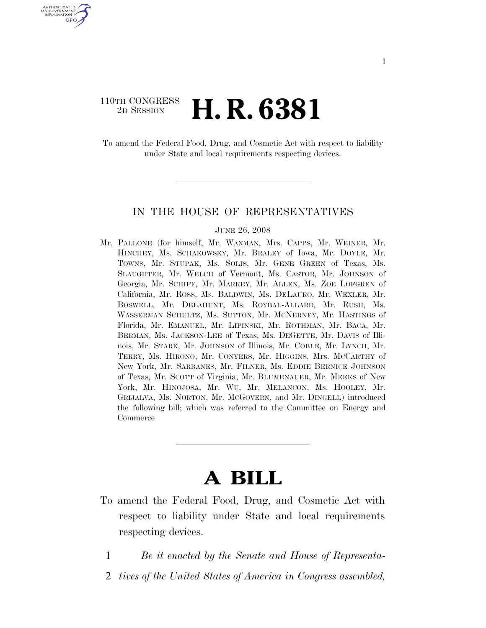### 110TH CONGRESS <sup>2D SESSION</sup> **H. R. 6381**

U.S. GOVERNMENT GPO

> To amend the Federal Food, Drug, and Cosmetic Act with respect to liability under State and local requirements respecting devices.

### IN THE HOUSE OF REPRESENTATIVES

#### JUNE 26, 2008

Mr. PALLONE (for himself, Mr. WAXMAN, Mrs. CAPPS, Mr. WEINER, Mr. HINCHEY, Ms. SCHAKOWSKY, Mr. BRALEY of Iowa, Mr. DOYLE, Mr. TOWNS, Mr. STUPAK, Ms. SOLIS, Mr. GENE GREEN of Texas, Ms. SLAUGHTER, Mr. WELCH of Vermont, Ms. CASTOR, Mr. JOHNSON of Georgia, Mr. SCHIFF, Mr. MARKEY, Mr. ALLEN, Ms. ZOE LOFGREN of California, Mr. ROSS, Ms. BALDWIN, Ms. DELAURO, Mr. WEXLER, Mr. BOSWELL, Mr. DELAHUNT, Ms. ROYBAL-ALLARD, Mr. RUSH, Ms. WASSERMAN SCHULTZ, Ms. SUTTON, Mr. MCNERNEY, Mr. HASTINGS of Florida, Mr. EMANUEL, Mr. LIPINSKI, Mr. ROTHMAN, Mr. BACA, Mr. BERMAN, Ms. JACKSON-LEE of Texas, Ms. DEGETTE, Mr. DAVIS of Illinois, Mr. STARK, Mr. JOHNSON of Illinois, Mr. COBLE, Mr. LYNCH, Mr. TERRY, Ms. HIRONO, Mr. CONYERS, Mr. HIGGINS, Mrs. MCCARTHY of New York, Mr. SARBANES, Mr. FILNER, Ms. EDDIE BERNICE JOHNSON of Texas, Mr. SCOTT of Virginia, Mr. BLUMENAUER, Mr. MEEKS of New York, Mr. HINOJOSA, Mr. WU, Mr. MELANCON, Ms. HOOLEY, Mr. GRIJALVA, Ms. NORTON, Mr. MCGOVERN, and Mr. DINGELL) introduced the following bill; which was referred to the Committee on Energy and **Commerce** 

# **A BILL**

- To amend the Federal Food, Drug, and Cosmetic Act with respect to liability under State and local requirements respecting devices.
	- 1 *Be it enacted by the Senate and House of Representa-*
	- 2 *tives of the United States of America in Congress assembled,*